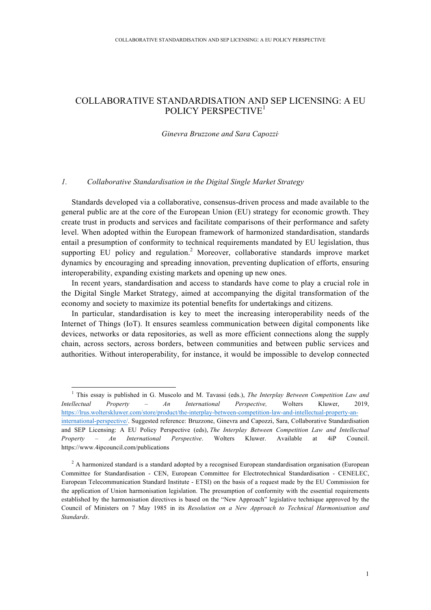# COLLABORATIVE STANDARDISATION AND SEP LICENSING: A EU POLICY PERSPECTIVE<sup>1</sup>

# *Ginevra Bruzzone and Sara Capozzi*<sup>∗</sup>

# *1. Collaborative Standardisation in the Digital Single Market Strategy*

Standards developed via a collaborative, consensus-driven process and made available to the general public are at the core of the European Union (EU) strategy for economic growth. They create trust in products and services and facilitate comparisons of their performance and safety level. When adopted within the European framework of harmonized standardisation, standards entail a presumption of conformity to technical requirements mandated by EU legislation, thus supporting EU policy and regulation.<sup>2</sup> Moreover, collaborative standards improve market dynamics by encouraging and spreading innovation, preventing duplication of efforts, ensuring interoperability, expanding existing markets and opening up new ones.

In recent years, standardisation and access to standards have come to play a crucial role in the Digital Single Market Strategy, aimed at accompanying the digital transformation of the economy and society to maximize its potential benefits for undertakings and citizens.

In particular, standardisation is key to meet the increasing interoperability needs of the Internet of Things (IoT). It ensures seamless communication between digital components like devices, networks or data repositories, as well as more efficient connections along the supply chain, across sectors, across borders, between communities and between public services and authorities. Without interoperability, for instance, it would be impossible to develop connected

 <sup>1</sup> This essay is published in G. Muscolo and M. Tavassi (eds.), *The Interplay Between Competition Law and Intellectual Property – An International Perspective,* Wolters Kluwer, 2019, https://lrus.wolterskluwer.com/store/product/the-interplay-between-competition-law-and-intellectual-property-aninternational-perspective/. Suggested reference: Bruzzone, Ginevra and Capozzi, Sara, Collaborative Standardisation and SEP Licensing: A EU Policy Perspective (eds), *The Interplay Between Competition Law and Intellectual Property – An International Perspective*. Wolters Kluwer. Available at 4iP Council. https://www.4ipcouncil.com/publications

<sup>&</sup>lt;sup>2</sup> A harmonized standard is a standard adopted by a recognised European standardisation organisation (European Committee for Standardisation - CEN, European Committee for Electrotechnical Standardisation - CENELEC, European Telecommunication Standard Institute - ETSI) on the basis of a request made by the EU Commission for the application of Union harmonisation legislation. The presumption of conformity with the essential requirements established by the harmonisation directives is based on the "New Approach" legislative technique approved by the Council of Ministers on 7 May 1985 in its *Resolution on a New Approach to Technical Harmonisation and Standards*.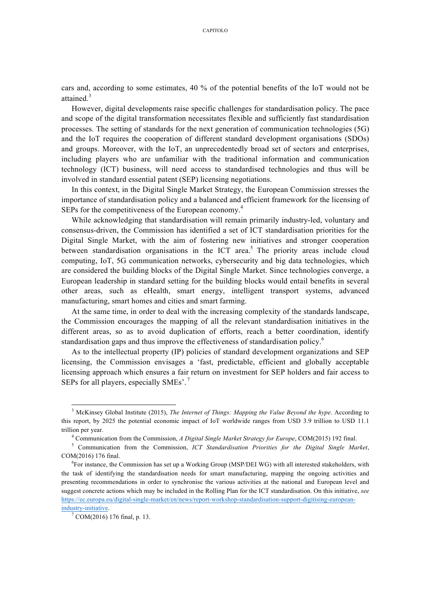cars and, according to some estimates, 40 % of the potential benefits of the IoT would not be attained.<sup>3</sup>

However, digital developments raise specific challenges for standardisation policy. The pace and scope of the digital transformation necessitates flexible and sufficiently fast standardisation processes. The setting of standards for the next generation of communication technologies (5G) and the IoT requires the cooperation of different standard development organisations (SDOs) and groups. Moreover, with the IoT, an unprecedentedly broad set of sectors and enterprises, including players who are unfamiliar with the traditional information and communication technology (ICT) business, will need access to standardised technologies and thus will be involved in standard essential patent (SEP) licensing negotiations.

In this context, in the Digital Single Market Strategy, the European Commission stresses the importance of standardisation policy and a balanced and efficient framework for the licensing of SEPs for the competitiveness of the European economy.<sup>4</sup>

While acknowledging that standardisation will remain primarily industry-led, voluntary and consensus-driven, the Commission has identified a set of ICT standardisation priorities for the Digital Single Market, with the aim of fostering new initiatives and stronger cooperation between standardisation organisations in the ICT area.<sup>5</sup> The priority areas include cloud computing, IoT, 5G communication networks, cybersecurity and big data technologies, which are considered the building blocks of the Digital Single Market. Since technologies converge, a European leadership in standard setting for the building blocks would entail benefits in several other areas, such as eHealth, smart energy, intelligent transport systems, advanced manufacturing, smart homes and cities and smart farming.

At the same time, in order to deal with the increasing complexity of the standards landscape, the Commission encourages the mapping of all the relevant standardisation initiatives in the different areas, so as to avoid duplication of efforts, reach a better coordination, identify standardisation gaps and thus improve the effectiveness of standardisation policy.<sup>6</sup>

As to the intellectual property (IP) policies of standard development organizations and SEP licensing, the Commission envisages a 'fast, predictable, efficient and globally acceptable licensing approach which ensures a fair return on investment for SEP holders and fair access to SEPs for all players, especially SMEs'.<sup>7</sup>

 <sup>3</sup> McKinsey Global Institute (2015), *The Internet of Things: Mapping the Value Beyond the hype*. According to this report, by 2025 the potential economic impact of IoT worldwide ranges from USD 3.9 trillion to USD 11.1

trillion per year.<br><sup>4</sup> Communication from the Commission, *A Digital Single Market Strategy for Europe*, COM(2015) 192 final.<br><sup>5</sup> Communication from the Commission, *ICT Standardisation Priorities for the Digital Single Ma* COM(2016) 176 final.

<sup>6</sup> For instance, the Commission has set up a Working Group (MSP/DEI WG) with all interested stakeholders, with the task of identifying the standardisation needs for smart manufacturing, mapping the ongoing activities and presenting recommendations in order to synchronise the various activities at the national and European level and suggest concrete actions which may be included in the Rolling Plan for the ICT standardisation. On this initiative, *see* https://ec.europa.eu/digital-single-market/en/news/report-workshop-standardisation-support-digitising-european-

 $\frac{\text{industry-initative.}}{7 \text{ COM}(2016) 176 \text{ final. p. 13.}}$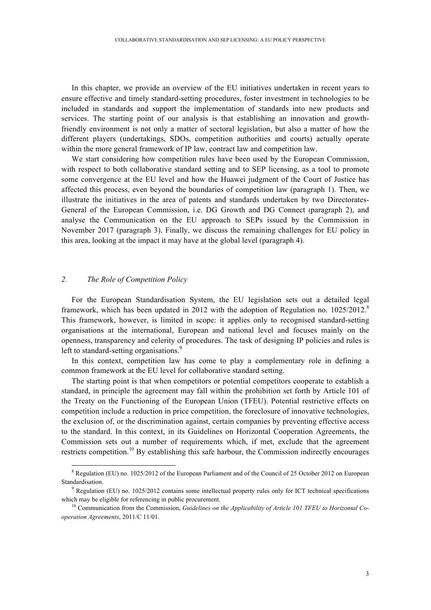In this chapter, we provide an overview of the EU initiatives undertaken in recent years to ensure effective and timely standard-setting procedures, foster investment in technologies to be included in standards and support the implementation of standards into new products and services. The starting point of our analysis is that establishing an innovation and growthfriendly environment is not only a matter of sectoral legislation, but also a matter of how the different players (undertakings, SDOs, competition authorities and courts) actually operate within the more general framework of IP law, contract law and competition law.

We start considering how competition rules have been used by the European Commission, with respect to both collaborative standard setting and to SEP licensing, as a tool to promote some convergence at the EU level and how the Huawei judgment of the Court of Justice has affected this process, even beyond the boundaries of competition law (paragraph 1). Then, we illustrate the initiatives in the area of patents and standards undertaken by two Directorates-General of the European Commission, i.e. DG Growth and DG Connect (paragraph 2), and analyse the Communication on the EU approach to SEPs issued by the Commission in November 2017 (paragraph 3). Finally, we discuss the remaining challenges for EU policy in this area, looking at the impact it may have at the global level (paragraph 4).

# *2. The Role of Competition Policy*

For the European Standardisation System, the EU legislation sets out a detailed legal framework, which has been updated in 2012 with the adoption of Regulation no.  $1025/2012$ .<sup>8</sup> This framework, however, is limited in scope: it applies only to recognised standard-setting organisations at the international, European and national level and focuses mainly on the openness, transparency and celerity of procedures. The task of designing IP policies and rules is left to standard-setting organisations.<sup>9</sup>

In this context, competition law has come to play a complementary role in defining a common framework at the EU level for collaborative standard setting.

The starting point is that when competitors or potential competitors cooperate to establish a standard, in principle the agreement may fall within the prohibition set forth by Article 101 of the Treaty on the Functioning of the European Union (TFEU). Potential restrictive effects on competition include a reduction in price competition, the foreclosure of innovative technologies, the exclusion of, or the discrimination against, certain companies by preventing effective access to the standard. In this context, in its Guidelines on Horizontal Cooperation Agreements, the Commission sets out a number of requirements which, if met, exclude that the agreement restricts competition.<sup>10</sup> By establishing this safe harbour, the Commission indirectly encourages

<sup>&</sup>lt;sup>8</sup> Regulation (EU) no. 1025/2012 of the European Parliament and of the Council of 25 October 2012 on European Standardisation.<br><sup>9</sup> Regulation (EU) no. 1025/2012 contains some intellectual property rules only for ICT technical specifications

which may be eligible for referencing in public procurement.<br><sup>10</sup> Communication from the Commission, *Guidelines on the Applicability of Article 101 TFEU to Horizontal Co-*

*operation Agreements*, 2011/C 11/01.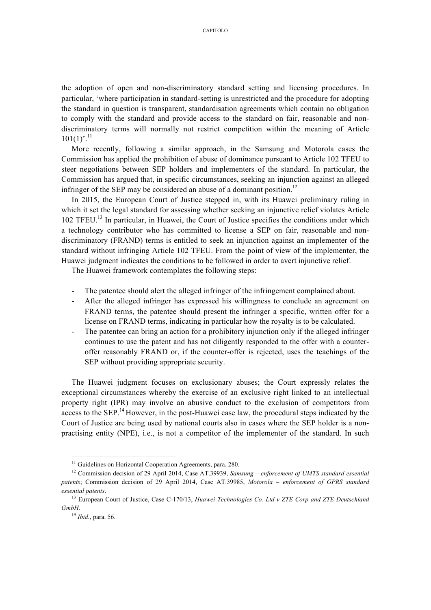the adoption of open and non-discriminatory standard setting and licensing procedures. In particular, 'where participation in standard-setting is unrestricted and the procedure for adopting the standard in question is transparent, standardisation agreements which contain no obligation to comply with the standard and provide access to the standard on fair, reasonable and nondiscriminatory terms will normally not restrict competition within the meaning of Article  $101(1)^{9}$ .<sup>11</sup>

More recently, following a similar approach, in the Samsung and Motorola cases the Commission has applied the prohibition of abuse of dominance pursuant to Article 102 TFEU to steer negotiations between SEP holders and implementers of the standard. In particular, the Commission has argued that, in specific circumstances, seeking an injunction against an alleged infringer of the SEP may be considered an abuse of a dominant position.<sup>12</sup>

In 2015, the European Court of Justice stepped in, with its Huawei preliminary ruling in which it set the legal standard for assessing whether seeking an injunctive relief violates Article 102 TFEU. <sup>13</sup> In particular, in Huawei, the Court of Justice specifies the conditions under which a technology contributor who has committed to license a SEP on fair, reasonable and nondiscriminatory (FRAND) terms is entitled to seek an injunction against an implementer of the standard without infringing Article 102 TFEU. From the point of view of the implementer, the Huawei judgment indicates the conditions to be followed in order to avert injunctive relief.

The Huawei framework contemplates the following steps:

- The patentee should alert the alleged infringer of the infringement complained about.
- After the alleged infringer has expressed his willingness to conclude an agreement on FRAND terms, the patentee should present the infringer a specific, written offer for a license on FRAND terms, indicating in particular how the royalty is to be calculated.
- The patentee can bring an action for a prohibitory injunction only if the alleged infringer continues to use the patent and has not diligently responded to the offer with a counteroffer reasonably FRAND or, if the counter-offer is rejected, uses the teachings of the SEP without providing appropriate security.

The Huawei judgment focuses on exclusionary abuses; the Court expressly relates the exceptional circumstances whereby the exercise of an exclusive right linked to an intellectual property right (IPR) may involve an abusive conduct to the exclusion of competitors from access to the SEP.<sup>14</sup> However, in the post-Huawei case law, the procedural steps indicated by the Court of Justice are being used by national courts also in cases where the SEP holder is a nonpractising entity (NPE), i.e., is not a competitor of the implementer of the standard. In such

<sup>&</sup>lt;sup>11</sup> Guidelines on Horizontal Cooperation Agreements, para. 280.<br><sup>12</sup> Commission decision of 29 April 2014, Case AT.39939, *Samsung – enforcement of UMTS standard essential patents*; Commission decision of 29 April 2014, Case AT.39985, *Motorola – enforcement of GPRS standard essential patents*.

<sup>13</sup> European Court of Justice, Case C-170/13, *Huawei Technologies Co. Ltd v ZTE Corp and ZTE Deutschland GmbH*. 14 *Ibid.*, para. 56.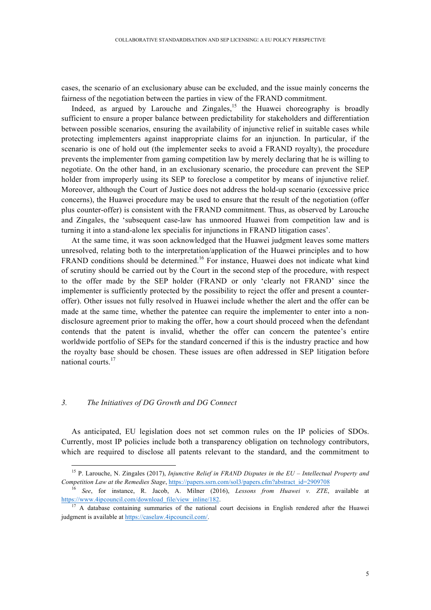cases, the scenario of an exclusionary abuse can be excluded, and the issue mainly concerns the fairness of the negotiation between the parties in view of the FRAND commitment.

Indeed, as argued by Larouche and Zingales,  $15$  the Huawei choreography is broadly sufficient to ensure a proper balance between predictability for stakeholders and differentiation between possible scenarios, ensuring the availability of injunctive relief in suitable cases while protecting implementers against inappropriate claims for an injunction. In particular, if the scenario is one of hold out (the implementer seeks to avoid a FRAND royalty), the procedure prevents the implementer from gaming competition law by merely declaring that he is willing to negotiate. On the other hand, in an exclusionary scenario, the procedure can prevent the SEP holder from improperly using its SEP to foreclose a competitor by means of injunctive relief. Moreover, although the Court of Justice does not address the hold-up scenario (excessive price concerns), the Huawei procedure may be used to ensure that the result of the negotiation (offer plus counter-offer) is consistent with the FRAND commitment. Thus, as observed by Larouche and Zingales, the 'subsequent case-law has unmoored Huawei from competition law and is turning it into a stand-alone lex specialis for injunctions in FRAND litigation cases'.

At the same time, it was soon acknowledged that the Huawei judgment leaves some matters unresolved, relating both to the interpretation/application of the Huawei principles and to how FRAND conditions should be determined.<sup>16</sup> For instance, Huawei does not indicate what kind of scrutiny should be carried out by the Court in the second step of the procedure, with respect to the offer made by the SEP holder (FRAND or only 'clearly not FRAND' since the implementer is sufficiently protected by the possibility to reject the offer and present a counteroffer). Other issues not fully resolved in Huawei include whether the alert and the offer can be made at the same time, whether the patentee can require the implementer to enter into a nondisclosure agreement prior to making the offer, how a court should proceed when the defendant contends that the patent is invalid, whether the offer can concern the patentee's entire worldwide portfolio of SEPs for the standard concerned if this is the industry practice and how the royalty base should be chosen. These issues are often addressed in SEP litigation before national courts.<sup>17</sup>

## *3. The Initiatives of DG Growth and DG Connect*

As anticipated, EU legislation does not set common rules on the IP policies of SDOs. Currently, most IP policies include both a transparency obligation on technology contributors, which are required to disclose all patents relevant to the standard, and the commitment to

 <sup>15</sup> P. Larouche, N. Zingales (2017), *Injunctive Relief in FRAND Disputes in the EU – Intellectual Property and Competition Law at the Remedies Stage*, https://papers.ssrn.com/sol3/papers.cfm?abstract\_id=2909708

<sup>16</sup> *See*, for instance, R. Jacob, A. Milner (2016), *Lessons from Huawei v. ZTE*, available at https://www.4ipcouncil.com/download\_file/view\_inline/182.<br><sup>17</sup> A database containing summaries of the national court decisions in English rendered after the Huawei

judgment is available at https://caselaw.4ipcouncil.com/.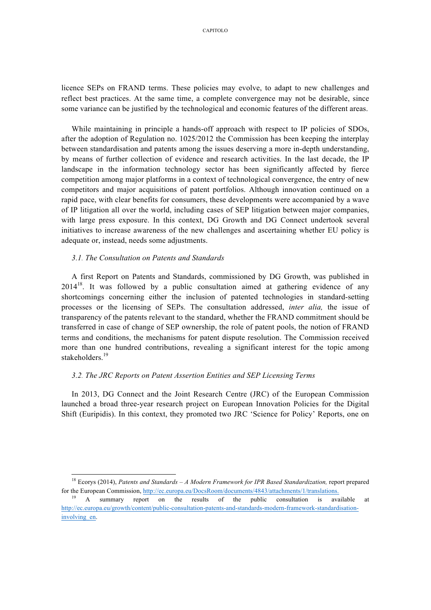licence SEPs on FRAND terms. These policies may evolve, to adapt to new challenges and reflect best practices. At the same time, a complete convergence may not be desirable, since some variance can be justified by the technological and economic features of the different areas.

While maintaining in principle a hands-off approach with respect to IP policies of SDOs, after the adoption of Regulation no. 1025/2012 the Commission has been keeping the interplay between standardisation and patents among the issues deserving a more in-depth understanding, by means of further collection of evidence and research activities. In the last decade, the IP landscape in the information technology sector has been significantly affected by fierce competition among major platforms in a context of technological convergence, the entry of new competitors and major acquisitions of patent portfolios. Although innovation continued on a rapid pace, with clear benefits for consumers, these developments were accompanied by a wave of IP litigation all over the world, including cases of SEP litigation between major companies, with large press exposure. In this context, DG Growth and DG Connect undertook several initiatives to increase awareness of the new challenges and ascertaining whether EU policy is adequate or, instead, needs some adjustments.

### *3.1. The Consultation on Patents and Standards*

A first Report on Patents and Standards, commissioned by DG Growth, was published in  $2014^{18}$ . It was followed by a public consultation aimed at gathering evidence of any shortcomings concerning either the inclusion of patented technologies in standard-setting processes or the licensing of SEPs. The consultation addressed, *inter alia,* the issue of transparency of the patents relevant to the standard, whether the FRAND commitment should be transferred in case of change of SEP ownership, the role of patent pools, the notion of FRAND terms and conditions, the mechanisms for patent dispute resolution. The Commission received more than one hundred contributions, revealing a significant interest for the topic among stakeholders.<sup>19</sup>

# *3.2. The JRC Reports on Patent Assertion Entities and SEP Licensing Terms*

In 2013, DG Connect and the Joint Research Centre (JRC) of the European Commission launched a broad three-year research project on European Innovation Policies for the Digital Shift (Euripidis). In this context, they promoted two JRC 'Science for Policy' Reports, one on

 <sup>18</sup> Ecorys (2014), *Patents and Standards – A Modern Framework for IPR Based Standardization,* report prepared for the European Commission, http://ec.europa.eu/DocsRoom/documents/4843/attachments/1/translations.<br><sup>19</sup> A summary report on the results of the public consultation is available at

http://ec.europa.eu/growth/content/public-consultation-patents-and-standards-modern-framework-standardisationinvolving en.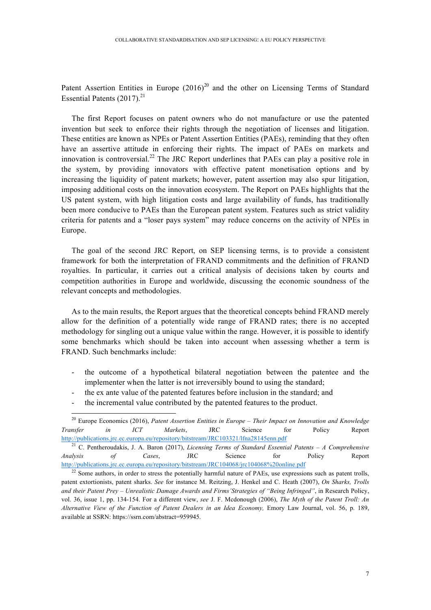Patent Assertion Entities in Europe  $(2016)^{20}$  and the other on Licensing Terms of Standard Essential Patents  $(2017)^{21}$ 

The first Report focuses on patent owners who do not manufacture or use the patented invention but seek to enforce their rights through the negotiation of licenses and litigation. These entities are known as NPEs or Patent Assertion Entities (PAEs), reminding that they often have an assertive attitude in enforcing their rights. The impact of PAEs on markets and innovation is controversial.<sup>22</sup> The JRC Report underlines that PAEs can play a positive role in the system, by providing innovators with effective patent monetisation options and by increasing the liquidity of patent markets; however, patent assertion may also spur litigation, imposing additional costs on the innovation ecosystem. The Report on PAEs highlights that the US patent system, with high litigation costs and large availability of funds, has traditionally been more conducive to PAEs than the European patent system. Features such as strict validity criteria for patents and a "loser pays system" may reduce concerns on the activity of NPEs in Europe.

The goal of the second JRC Report, on SEP licensing terms, is to provide a consistent framework for both the interpretation of FRAND commitments and the definition of FRAND royalties. In particular, it carries out a critical analysis of decisions taken by courts and competition authorities in Europe and worldwide, discussing the economic soundness of the relevant concepts and methodologies.

As to the main results, the Report argues that the theoretical concepts behind FRAND merely allow for the definition of a potentially wide range of FRAND rates; there is no accepted methodology for singling out a unique value within the range. However, it is possible to identify some benchmarks which should be taken into account when assessing whether a term is FRAND. Such benchmarks include:

- the outcome of a hypothetical bilateral negotiation between the patentee and the implementer when the latter is not irreversibly bound to using the standard;
- the ex ante value of the patented features before inclusion in the standard; and
- the incremental value contributed by the patented features to the product.

 <sup>20</sup> Europe Economics (2016), *Patent Assertion Entities in Europe – Their Impact on Innovation and Knowledge Transfer in ICT Markets*, JRC Science for Policy Report http://publications.jrc.ec.europa.eu/repository/bitstream/JRC103321/lfna28145enn.pdf

<sup>21</sup> C. Pentheroudakis, J. A. Baron (2017), *Licensing Terms of Standard Essential Patents* – *A Comprehensive Analysis of Cases*, JRC Science for Policy Report http://publications.jrc.ec.europa.eu/repository/bitstream/JRC104068/jrc104068%20online.pdf

 $22$  Some authors, in order to stress the potentially harmful nature of PAEs, use expressions such as patent trolls, patent extortionists, patent sharks. *See* for instance M. Reitzing, J. Henkel and C. Heath (2007), *On Sharks, Trolls and their Patent Prey – Unrealistic Damage Awards and Firms'Strategies of "Being Infringed"*, in Research Policy, vol. 36, issue 1, pp. 134-154. For a different view, *see* J. F. Mcdonough (2006), *The Myth of the Patent Troll: An Alternative View of the Function of Patent Dealers in an Idea Economy,* Emory Law Journal, vol. 56, p. 189, available at SSRN: https://ssrn.com/abstract=959945.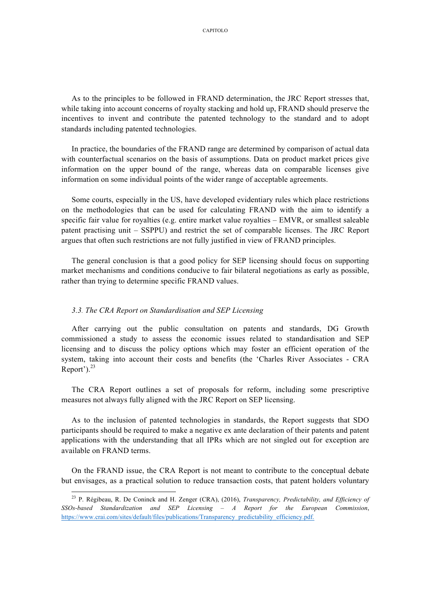As to the principles to be followed in FRAND determination, the JRC Report stresses that, while taking into account concerns of royalty stacking and hold up, FRAND should preserve the incentives to invent and contribute the patented technology to the standard and to adopt standards including patented technologies.

In practice, the boundaries of the FRAND range are determined by comparison of actual data with counterfactual scenarios on the basis of assumptions. Data on product market prices give information on the upper bound of the range, whereas data on comparable licenses give information on some individual points of the wider range of acceptable agreements.

Some courts, especially in the US, have developed evidentiary rules which place restrictions on the methodologies that can be used for calculating FRAND with the aim to identify a specific fair value for royalties (e.g. entire market value royalties – EMVR, or smallest saleable patent practising unit – SSPPU) and restrict the set of comparable licenses. The JRC Report argues that often such restrictions are not fully justified in view of FRAND principles.

The general conclusion is that a good policy for SEP licensing should focus on supporting market mechanisms and conditions conducive to fair bilateral negotiations as early as possible, rather than trying to determine specific FRAND values.

#### *3.3. The CRA Report on Standardisation and SEP Licensing*

After carrying out the public consultation on patents and standards, DG Growth commissioned a study to assess the economic issues related to standardisation and SEP licensing and to discuss the policy options which may foster an efficient operation of the system, taking into account their costs and benefits (the 'Charles River Associates - CRA Report').<sup>23</sup>

The CRA Report outlines a set of proposals for reform, including some prescriptive measures not always fully aligned with the JRC Report on SEP licensing.

As to the inclusion of patented technologies in standards, the Report suggests that SDO participants should be required to make a negative ex ante declaration of their patents and patent applications with the understanding that all IPRs which are not singled out for exception are available on FRAND terms.

On the FRAND issue, the CRA Report is not meant to contribute to the conceptual debate but envisages, as a practical solution to reduce transaction costs, that patent holders voluntary

 <sup>23</sup> P. Régibeau, R. De Coninck and H. Zenger (CRA), (2016), *Transparency, Predictability, and Efficiency of SSOs-based Standardization and SEP Licensing – A Report for the European Commission*, https://www.crai.com/sites/default/files/publications/Transparency\_predictability\_efficiency.pdf.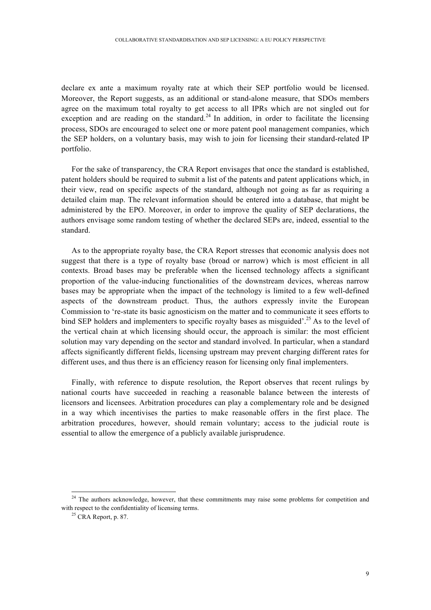declare ex ante a maximum royalty rate at which their SEP portfolio would be licensed. Moreover, the Report suggests, as an additional or stand-alone measure, that SDOs members agree on the maximum total royalty to get access to all IPRs which are not singled out for exception and are reading on the standard.<sup>24</sup> In addition, in order to facilitate the licensing process, SDOs are encouraged to select one or more patent pool management companies, which the SEP holders, on a voluntary basis, may wish to join for licensing their standard-related IP portfolio.

For the sake of transparency, the CRA Report envisages that once the standard is established, patent holders should be required to submit a list of the patents and patent applications which, in their view, read on specific aspects of the standard, although not going as far as requiring a detailed claim map. The relevant information should be entered into a database, that might be administered by the EPO. Moreover, in order to improve the quality of SEP declarations, the authors envisage some random testing of whether the declared SEPs are, indeed, essential to the standard.

As to the appropriate royalty base, the CRA Report stresses that economic analysis does not suggest that there is a type of royalty base (broad or narrow) which is most efficient in all contexts. Broad bases may be preferable when the licensed technology affects a significant proportion of the value-inducing functionalities of the downstream devices, whereas narrow bases may be appropriate when the impact of the technology is limited to a few well-defined aspects of the downstream product. Thus, the authors expressly invite the European Commission to 're-state its basic agnosticism on the matter and to communicate it sees efforts to bind SEP holders and implementers to specific royalty bases as misguided'.<sup>25</sup> As to the level of the vertical chain at which licensing should occur, the approach is similar: the most efficient solution may vary depending on the sector and standard involved. In particular, when a standard affects significantly different fields, licensing upstream may prevent charging different rates for different uses, and thus there is an efficiency reason for licensing only final implementers.

Finally, with reference to dispute resolution, the Report observes that recent rulings by national courts have succeeded in reaching a reasonable balance between the interests of licensors and licensees. Arbitration procedures can play a complementary role and be designed in a way which incentivises the parties to make reasonable offers in the first place. The arbitration procedures, however, should remain voluntary; access to the judicial route is essential to allow the emergence of a publicly available jurisprudence.

<sup>&</sup>lt;sup>24</sup> The authors acknowledge, however, that these commitments may raise some problems for competition and with respect to the confidentiality of licensing terms.<br><sup>25</sup> CRA Report, p. 87.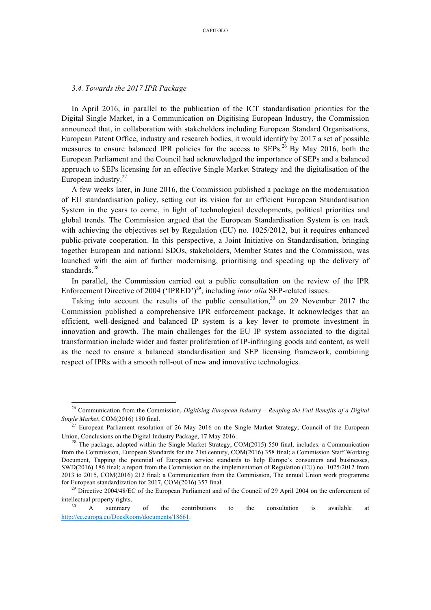#### *3.4. Towards the 2017 IPR Package*

In April 2016, in parallel to the publication of the ICT standardisation priorities for the Digital Single Market, in a Communication on Digitising European Industry, the Commission announced that, in collaboration with stakeholders including European Standard Organisations, European Patent Office, industry and research bodies, it would identify by 2017 a set of possible measures to ensure balanced IPR policies for the access to  $SEPs$ <sup>26</sup> By May 2016, both the European Parliament and the Council had acknowledged the importance of SEPs and a balanced approach to SEPs licensing for an effective Single Market Strategy and the digitalisation of the European industry.<sup>27</sup>

A few weeks later, in June 2016, the Commission published a package on the modernisation of EU standardisation policy, setting out its vision for an efficient European Standardisation System in the years to come, in light of technological developments, political priorities and global trends. The Commission argued that the European Standardisation System is on track with achieving the objectives set by Regulation (EU) no. 1025/2012, but it requires enhanced public-private cooperation. In this perspective, a Joint Initiative on Standardisation, bringing together European and national SDOs, stakeholders, Member States and the Commission, was launched with the aim of further modernising, prioritising and speeding up the delivery of standards.<sup>28</sup>

In parallel, the Commission carried out a public consultation on the review of the IPR Enforcement Directive of 2004 ('IPRED')<sup>29</sup>, including *inter alia* SEP-related issues.

Taking into account the results of the public consultation,<sup>30</sup> on 29 November 2017 the Commission published a comprehensive IPR enforcement package. It acknowledges that an efficient, well-designed and balanced IP system is a key lever to promote investment in innovation and growth. The main challenges for the EU IP system associated to the digital transformation include wider and faster proliferation of IP-infringing goods and content, as well as the need to ensure a balanced standardisation and SEP licensing framework, combining respect of IPRs with a smooth roll-out of new and innovative technologies.

 <sup>26</sup> Communication from the Commission, *Digitising European Industry – Reaping the Full Benefits of a Digital Single Market*, COM(2016) 180 final.

<sup>&</sup>lt;sup>27</sup> European Parliament resolution of 26 May 2016 on the Single Market Strategy; Council of the European Union, Conclusions on the Digital Industry Package, 17 May 2016.

<sup>&</sup>lt;sup>28</sup> The package, adopted within the Single Market Strategy, COM(2015) 550 final, includes: a Communication from the Commission, European Standards for the 21st century, COM(2016) 358 final; a Commission Staff Working Document, Tapping the potential of European service standards to help Europe's consumers and businesses, SWD(2016) 186 final; a report from the Commission on the implementation of Regulation (EU) no. 1025/2012 from 2013 to 2015, COM(2016) 212 final; a Communication from the Commission, The annual Union work programme for European standardization for 2017, COM(2016) 357 final.

<sup>&</sup>lt;sup>29</sup> Directive 2004/48/EC of the European Parliament and of the Council of 29 April 2004 on the enforcement of intellectual property rights.

<sup>&</sup>lt;sup>30</sup> A summary of the contributions to the consultation is available at http://ec.europa.eu/DocsRoom/documents/18661.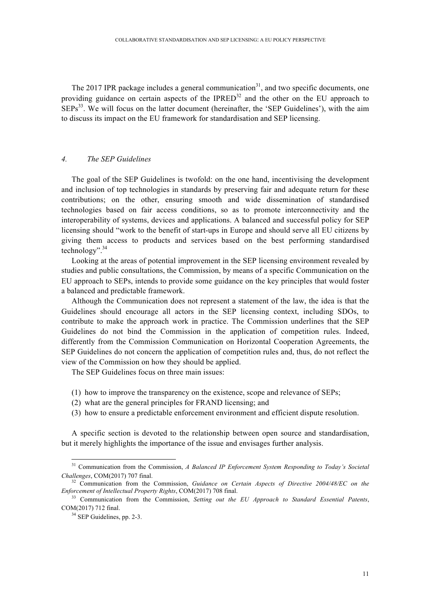The 2017 IPR package includes a general communication<sup>31</sup>, and two specific documents, one providing guidance on certain aspects of the IPRED $32$  and the other on the EU approach to  $SEPs<sup>33</sup>$ . We will focus on the latter document (hereinafter, the 'SEP Guidelines'), with the aim to discuss its impact on the EU framework for standardisation and SEP licensing.

# *4. The SEP Guidelines*

The goal of the SEP Guidelines is twofold: on the one hand, incentivising the development and inclusion of top technologies in standards by preserving fair and adequate return for these contributions; on the other, ensuring smooth and wide dissemination of standardised technologies based on fair access conditions, so as to promote interconnectivity and the interoperability of systems, devices and applications. A balanced and successful policy for SEP licensing should "work to the benefit of start-ups in Europe and should serve all EU citizens by giving them access to products and services based on the best performing standardised technology".34

Looking at the areas of potential improvement in the SEP licensing environment revealed by studies and public consultations, the Commission, by means of a specific Communication on the EU approach to SEPs, intends to provide some guidance on the key principles that would foster a balanced and predictable framework.

Although the Communication does not represent a statement of the law, the idea is that the Guidelines should encourage all actors in the SEP licensing context, including SDOs, to contribute to make the approach work in practice. The Commission underlines that the SEP Guidelines do not bind the Commission in the application of competition rules. Indeed, differently from the Commission Communication on Horizontal Cooperation Agreements, the SEP Guidelines do not concern the application of competition rules and, thus, do not reflect the view of the Commission on how they should be applied.

The SEP Guidelines focus on three main issues:

- (1) how to improve the transparency on the existence, scope and relevance of SEPs;
- (2) what are the general principles for FRAND licensing; and
- (3) how to ensure a predictable enforcement environment and efficient dispute resolution.

A specific section is devoted to the relationship between open source and standardisation, but it merely highlights the importance of the issue and envisages further analysis.

<sup>&</sup>lt;sup>31</sup> Communication from the Commission, *A Balanced IP Enforcement System Responding to Today's Societal Challenges*, COM(2017) 707 final.

<sup>&</sup>lt;sup>32</sup> Communication from the Commission, *Guidance on Certain Aspects of Directive 2004/48/EC on the Enforcement of Intellectual Property Rights*, COM(2017) 708 final.

<sup>33</sup> Communication from the Commission, *Setting out the EU Approach to Standard Essential Patents*, COM(2017) 712 final.<br> $34$  SEP Guidelines, pp. 2-3.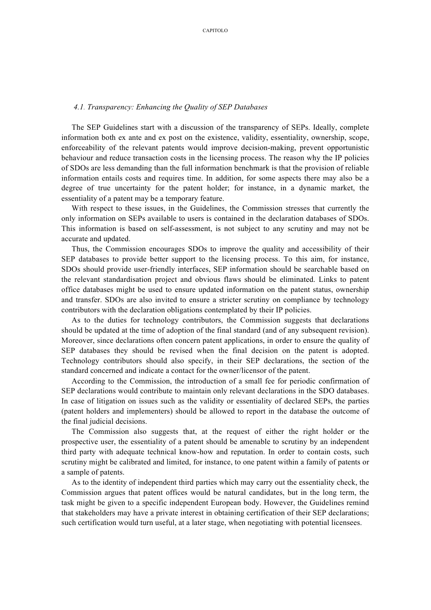#### *4.1. Transparency: Enhancing the Quality of SEP Databases*

The SEP Guidelines start with a discussion of the transparency of SEPs. Ideally, complete information both ex ante and ex post on the existence, validity, essentiality, ownership, scope, enforceability of the relevant patents would improve decision-making, prevent opportunistic behaviour and reduce transaction costs in the licensing process. The reason why the IP policies of SDOs are less demanding than the full information benchmark is that the provision of reliable information entails costs and requires time. In addition, for some aspects there may also be a degree of true uncertainty for the patent holder; for instance, in a dynamic market, the essentiality of a patent may be a temporary feature.

With respect to these issues, in the Guidelines, the Commission stresses that currently the only information on SEPs available to users is contained in the declaration databases of SDOs. This information is based on self-assessment, is not subject to any scrutiny and may not be accurate and updated.

Thus, the Commission encourages SDOs to improve the quality and accessibility of their SEP databases to provide better support to the licensing process. To this aim, for instance, SDOs should provide user-friendly interfaces, SEP information should be searchable based on the relevant standardisation project and obvious flaws should be eliminated. Links to patent office databases might be used to ensure updated information on the patent status, ownership and transfer. SDOs are also invited to ensure a stricter scrutiny on compliance by technology contributors with the declaration obligations contemplated by their IP policies.

As to the duties for technology contributors, the Commission suggests that declarations should be updated at the time of adoption of the final standard (and of any subsequent revision). Moreover, since declarations often concern patent applications, in order to ensure the quality of SEP databases they should be revised when the final decision on the patent is adopted. Technology contributors should also specify, in their SEP declarations, the section of the standard concerned and indicate a contact for the owner/licensor of the patent.

According to the Commission, the introduction of a small fee for periodic confirmation of SEP declarations would contribute to maintain only relevant declarations in the SDO databases. In case of litigation on issues such as the validity or essentiality of declared SEPs, the parties (patent holders and implementers) should be allowed to report in the database the outcome of the final judicial decisions.

The Commission also suggests that, at the request of either the right holder or the prospective user, the essentiality of a patent should be amenable to scrutiny by an independent third party with adequate technical know-how and reputation. In order to contain costs, such scrutiny might be calibrated and limited, for instance, to one patent within a family of patents or a sample of patents.

As to the identity of independent third parties which may carry out the essentiality check, the Commission argues that patent offices would be natural candidates, but in the long term, the task might be given to a specific independent European body. However, the Guidelines remind that stakeholders may have a private interest in obtaining certification of their SEP declarations; such certification would turn useful, at a later stage, when negotiating with potential licensees.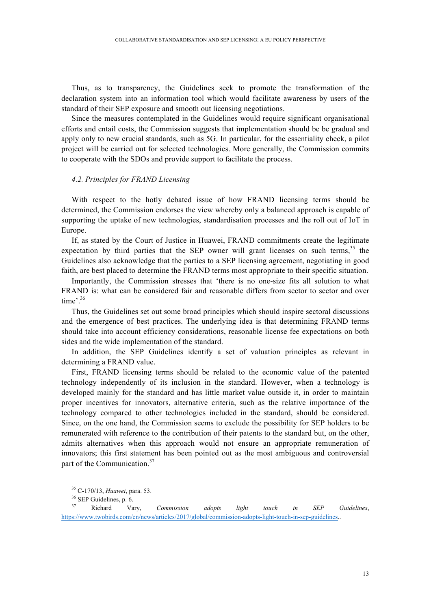Thus, as to transparency, the Guidelines seek to promote the transformation of the declaration system into an information tool which would facilitate awareness by users of the standard of their SEP exposure and smooth out licensing negotiations.

Since the measures contemplated in the Guidelines would require significant organisational efforts and entail costs, the Commission suggests that implementation should be be gradual and apply only to new crucial standards, such as 5G. In particular, for the essentiality check, a pilot project will be carried out for selected technologies. More generally, the Commission commits to cooperate with the SDOs and provide support to facilitate the process.

# *4.2. Principles for FRAND Licensing*

With respect to the hotly debated issue of how FRAND licensing terms should be determined, the Commission endorses the view whereby only a balanced approach is capable of supporting the uptake of new technologies, standardisation processes and the roll out of IoT in Europe.

If, as stated by the Court of Justice in Huawei, FRAND commitments create the legitimate expectation by third parties that the SEP owner will grant licenses on such terms,  $35$  the Guidelines also acknowledge that the parties to a SEP licensing agreement, negotiating in good faith, are best placed to determine the FRAND terms most appropriate to their specific situation.

Importantly, the Commission stresses that 'there is no one-size fits all solution to what FRAND is: what can be considered fair and reasonable differs from sector to sector and over time'. 36

Thus, the Guidelines set out some broad principles which should inspire sectoral discussions and the emergence of best practices. The underlying idea is that determining FRAND terms should take into account efficiency considerations, reasonable license fee expectations on both sides and the wide implementation of the standard.

In addition, the SEP Guidelines identify a set of valuation principles as relevant in determining a FRAND value.

First, FRAND licensing terms should be related to the economic value of the patented technology independently of its inclusion in the standard. However, when a technology is developed mainly for the standard and has little market value outside it, in order to maintain proper incentives for innovators, alternative criteria, such as the relative importance of the technology compared to other technologies included in the standard, should be considered. Since, on the one hand, the Commission seems to exclude the possibility for SEP holders to be remunerated with reference to the contribution of their patents to the standard but, on the other, admits alternatives when this approach would not ensure an appropriate remuneration of innovators; this first statement has been pointed out as the most ambiguous and controversial part of the Communication.<sup>37</sup>

 <sup>35</sup> C-170/13, *Huawei*, para. 53.

 $rac{36}{37}$  SEP Guidelines, p. 6.

<sup>37</sup> Richard Vary, *Commission adopts light touch in SEP Guidelines*, https://www.twobirds.com/en/news/articles/2017/global/commission-adopts-light-touch-in-sep-guidelines..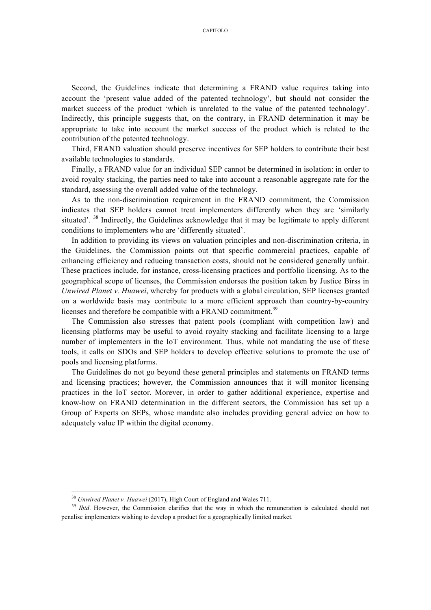Second, the Guidelines indicate that determining a FRAND value requires taking into account the 'present value added of the patented technology', but should not consider the market success of the product 'which is unrelated to the value of the patented technology'. Indirectly, this principle suggests that, on the contrary, in FRAND determination it may be appropriate to take into account the market success of the product which is related to the contribution of the patented technology.

Third, FRAND valuation should preserve incentives for SEP holders to contribute their best available technologies to standards.

Finally, a FRAND value for an individual SEP cannot be determined in isolation: in order to avoid royalty stacking, the parties need to take into account a reasonable aggregate rate for the standard, assessing the overall added value of the technology.

As to the non-discrimination requirement in the FRAND commitment, the Commission indicates that SEP holders cannot treat implementers differently when they are 'similarly situated'. <sup>38</sup> Indirectly, the Guidelines acknowledge that it may be legitimate to apply different conditions to implementers who are 'differently situated'.

In addition to providing its views on valuation principles and non-discrimination criteria, in the Guidelines, the Commission points out that specific commercial practices, capable of enhancing efficiency and reducing transaction costs, should not be considered generally unfair. These practices include, for instance, cross-licensing practices and portfolio licensing. As to the geographical scope of licenses, the Commission endorses the position taken by Justice Birss in *Unwired Planet v. Huawei*, whereby for products with a global circulation, SEP licenses granted on a worldwide basis may contribute to a more efficient approach than country-by-country licenses and therefore be compatible with a FRAND commitment.<sup>39</sup>

The Commission also stresses that patent pools (compliant with competition law) and licensing platforms may be useful to avoid royalty stacking and facilitate licensing to a large number of implementers in the IoT environment. Thus, while not mandating the use of these tools, it calls on SDOs and SEP holders to develop effective solutions to promote the use of pools and licensing platforms.

The Guidelines do not go beyond these general principles and statements on FRAND terms and licensing practices; however, the Commission announces that it will monitor licensing practices in the IoT sector. Morever, in order to gather additional experience, expertise and know-how on FRAND determination in the different sectors, the Commission has set up a Group of Experts on SEPs, whose mandate also includes providing general advice on how to adequately value IP within the digital economy.

<sup>&</sup>lt;sup>38</sup> *Unwired Planet v. Huawei* (2017), High Court of England and Wales 711.<br><sup>39</sup> *Ibid*. However, the Commission clarifies that the way in which the remuneration is calculated should not penalise implementers wishing to develop a product for a geographically limited market.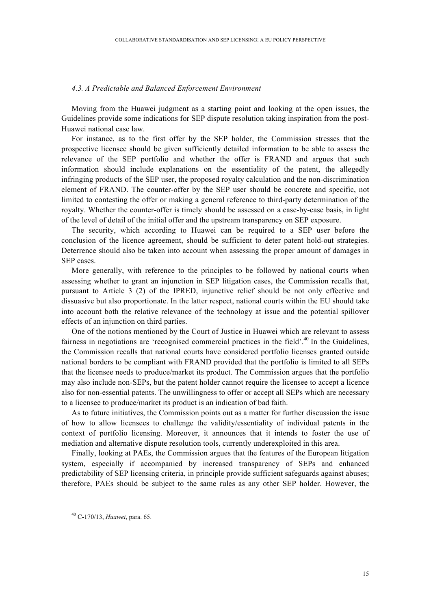#### *4.3. A Predictable and Balanced Enforcement Environment*

Moving from the Huawei judgment as a starting point and looking at the open issues, the Guidelines provide some indications for SEP dispute resolution taking inspiration from the post-Huawei national case law.

For instance, as to the first offer by the SEP holder, the Commission stresses that the prospective licensee should be given sufficiently detailed information to be able to assess the relevance of the SEP portfolio and whether the offer is FRAND and argues that such information should include explanations on the essentiality of the patent, the allegedly infringing products of the SEP user, the proposed royalty calculation and the non-discrimination element of FRAND. The counter-offer by the SEP user should be concrete and specific, not limited to contesting the offer or making a general reference to third-party determination of the royalty. Whether the counter-offer is timely should be assessed on a case-by-case basis, in light of the level of detail of the initial offer and the upstream transparency on SEP exposure.

The security, which according to Huawei can be required to a SEP user before the conclusion of the licence agreement, should be sufficient to deter patent hold-out strategies. Deterrence should also be taken into account when assessing the proper amount of damages in SEP cases.

More generally, with reference to the principles to be followed by national courts when assessing whether to grant an injunction in SEP litigation cases, the Commission recalls that, pursuant to Article 3 (2) of the IPRED, injunctive relief should be not only effective and dissuasive but also proportionate. In the latter respect, national courts within the EU should take into account both the relative relevance of the technology at issue and the potential spillover effects of an injunction on third parties.

One of the notions mentioned by the Court of Justice in Huawei which are relevant to assess fairness in negotiations are 'recognised commercial practices in the field'.<sup>40</sup> In the Guidelines, the Commission recalls that national courts have considered portfolio licenses granted outside national borders to be compliant with FRAND provided that the portfolio is limited to all SEPs that the licensee needs to produce/market its product. The Commission argues that the portfolio may also include non-SEPs, but the patent holder cannot require the licensee to accept a licence also for non-essential patents. The unwillingness to offer or accept all SEPs which are necessary to a licensee to produce/market its product is an indication of bad faith.

As to future initiatives, the Commission points out as a matter for further discussion the issue of how to allow licensees to challenge the validity/essentiality of individual patents in the context of portfolio licensing. Moreover, it announces that it intends to foster the use of mediation and alternative dispute resolution tools, currently underexploited in this area.

Finally, looking at PAEs, the Commission argues that the features of the European litigation system, especially if accompanied by increased transparency of SEPs and enhanced predictability of SEP licensing criteria, in principle provide sufficient safeguards against abuses; therefore, PAEs should be subject to the same rules as any other SEP holder. However, the

 <sup>40</sup> C-170/13, *Huawei*, para. 65.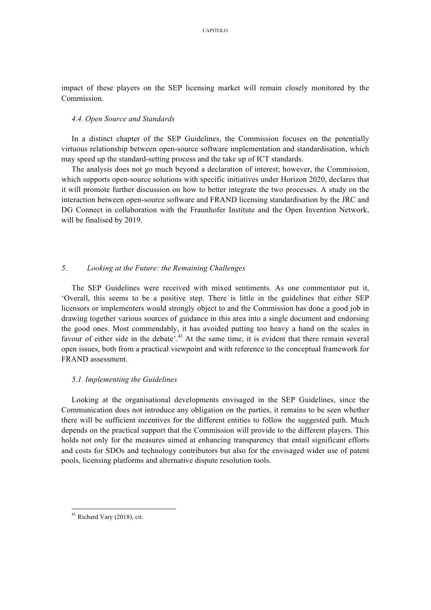impact of these players on the SEP licensing market will remain closely monitored by the Commission.

### *4.4. Open Source and Standards*

In a distinct chapter of the SEP Guidelines, the Commission focuses on the potentially virtuous relationship between open-source software implementation and standardisation, which may speed up the standard-setting process and the take up of ICT standards.

The analysis does not go much beyond a declaration of interest; however, the Commission, which supports open-source solutions with specific initiatives under Horizon 2020, declares that it will promote further discussion on how to better integrate the two processes. A study on the interaction between open-source software and FRAND licensing standardisation by the JRC and DG Connect in collaboration with the Fraunhofer Institute and the Open Invention Network, will be finalised by 2019.

# *5. Looking at the Future: the Remaining Challenges*

The SEP Guidelines were received with mixed sentiments. As one commentator put it, 'Overall, this seems to be a positive step. There is little in the guidelines that either SEP licensors or implementers would strongly object to and the Commission has done a good job in drawing together various sources of guidance in this area into a single document and endorsing the good ones. Most commendably, it has avoided putting too heavy a hand on the scales in favour of either side in the debate'.<sup>41</sup> At the same time, it is evident that there remain several open issues, both from a practical viewpoint and with reference to the conceptual framework for FRAND assessment.

# *5.1. Implementing the Guidelines*

Looking at the organisational developments envisaged in the SEP Guidelines, since the Communication does not introduce any obligation on the parties, it remains to be seen whether there will be sufficient incentives for the different entities to follow the suggested path. Much depends on the practical support that the Commission will provide to the different players. This holds not only for the measures aimed at enhancing transparency that entail significant efforts and costs for SDOs and technology contributors but also for the envisaged wider use of patent pools, licensing platforms and alternative dispute resolution tools.

 <sup>41</sup> Richard Vary (2018), cit.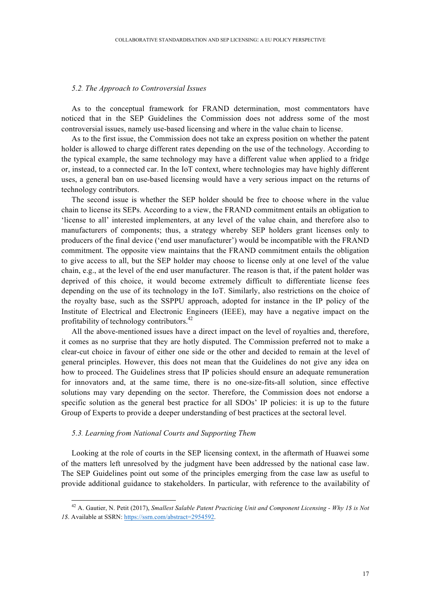#### *5.2. The Approach to Controversial Issues*

As to the conceptual framework for FRAND determination, most commentators have noticed that in the SEP Guidelines the Commission does not address some of the most controversial issues, namely use-based licensing and where in the value chain to license.

As to the first issue, the Commission does not take an express position on whether the patent holder is allowed to charge different rates depending on the use of the technology. According to the typical example, the same technology may have a different value when applied to a fridge or, instead, to a connected car. In the IoT context, where technologies may have highly different uses, a general ban on use-based licensing would have a very serious impact on the returns of technology contributors.

The second issue is whether the SEP holder should be free to choose where in the value chain to license its SEPs. According to a view, the FRAND commitment entails an obligation to 'license to all' interested implementers, at any level of the value chain, and therefore also to manufacturers of components; thus, a strategy whereby SEP holders grant licenses only to producers of the final device ('end user manufacturer') would be incompatible with the FRAND commitment. The opposite view maintains that the FRAND commitment entails the obligation to give access to all, but the SEP holder may choose to license only at one level of the value chain, e.g., at the level of the end user manufacturer. The reason is that, if the patent holder was deprived of this choice, it would become extremely difficult to differentiate license fees depending on the use of its technology in the IoT. Similarly, also restrictions on the choice of the royalty base, such as the SSPPU approach, adopted for instance in the IP policy of the Institute of Electrical and Electronic Engineers (IEEE), may have a negative impact on the profitability of technology contributors.<sup>42</sup>

All the above-mentioned issues have a direct impact on the level of royalties and, therefore, it comes as no surprise that they are hotly disputed. The Commission preferred not to make a clear-cut choice in favour of either one side or the other and decided to remain at the level of general principles. However, this does not mean that the Guidelines do not give any idea on how to proceed. The Guidelines stress that IP policies should ensure an adequate remuneration for innovators and, at the same time, there is no one-size-fits-all solution, since effective solutions may vary depending on the sector. Therefore, the Commission does not endorse a specific solution as the general best practice for all SDOs' IP policies: it is up to the future Group of Experts to provide a deeper understanding of best practices at the sectoral level.

# *5.3. Learning from National Courts and Supporting Them*

Looking at the role of courts in the SEP licensing context, in the aftermath of Huawei some of the matters left unresolved by the judgment have been addressed by the national case law. The SEP Guidelines point out some of the principles emerging from the case law as useful to provide additional guidance to stakeholders. In particular, with reference to the availability of

 <sup>42</sup> A. Gautier, N. Petit (2017), *Smallest Salable Patent Practicing Unit and Component Licensing - Why 1\$ is Not 1\$*. Available at SSRN: https://ssrn.com/abstract=2954592.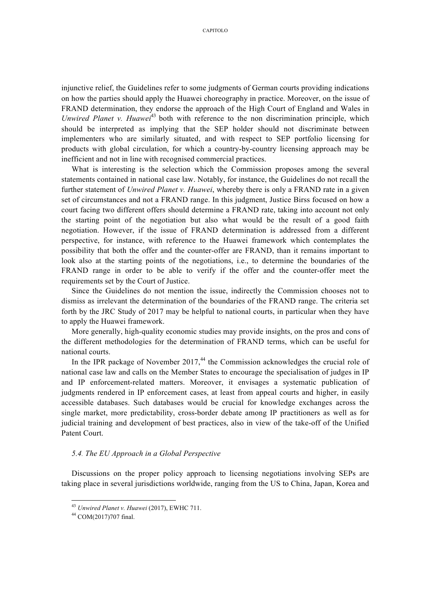injunctive relief, the Guidelines refer to some judgments of German courts providing indications on how the parties should apply the Huawei choreography in practice. Moreover, on the issue of FRAND determination, they endorse the approach of the High Court of England and Wales in *Unwired Planet v. Huawei*<sup>43</sup> both with reference to the non discrimination principle, which should be interpreted as implying that the SEP holder should not discriminate between implementers who are similarly situated, and with respect to SEP portfolio licensing for products with global circulation, for which a country-by-country licensing approach may be inefficient and not in line with recognised commercial practices.

What is interesting is the selection which the Commission proposes among the several statements contained in national case law. Notably, for instance, the Guidelines do not recall the further statement of *Unwired Planet v. Huawei*, whereby there is only a FRAND rate in a given set of circumstances and not a FRAND range. In this judgment, Justice Birss focused on how a court facing two different offers should determine a FRAND rate, taking into account not only the starting point of the negotiation but also what would be the result of a good faith negotiation. However, if the issue of FRAND determination is addressed from a different perspective, for instance, with reference to the Huawei framework which contemplates the possibility that both the offer and the counter-offer are FRAND, than it remains important to look also at the starting points of the negotiations, i.e., to determine the boundaries of the FRAND range in order to be able to verify if the offer and the counter-offer meet the requirements set by the Court of Justice.

Since the Guidelines do not mention the issue, indirectly the Commission chooses not to dismiss as irrelevant the determination of the boundaries of the FRAND range. The criteria set forth by the JRC Study of 2017 may be helpful to national courts, in particular when they have to apply the Huawei framework.

More generally, high-quality economic studies may provide insights, on the pros and cons of the different methodologies for the determination of FRAND terms, which can be useful for national courts.

In the IPR package of November  $2017<sub>1</sub><sup>44</sup>$  the Commission acknowledges the crucial role of national case law and calls on the Member States to encourage the specialisation of judges in IP and IP enforcement-related matters. Moreover, it envisages a systematic publication of judgments rendered in IP enforcement cases, at least from appeal courts and higher, in easily accessible databases. Such databases would be crucial for knowledge exchanges across the single market, more predictability, cross-border debate among IP practitioners as well as for judicial training and development of best practices, also in view of the take-off of the Unified Patent Court.

# *5.4. The EU Approach in a Global Perspective*

Discussions on the proper policy approach to licensing negotiations involving SEPs are taking place in several jurisdictions worldwide, ranging from the US to China, Japan, Korea and

<sup>43</sup> *Unwired Planet v. Huawei* (2017), EWHC 711. 44 COM(2017)707 final.